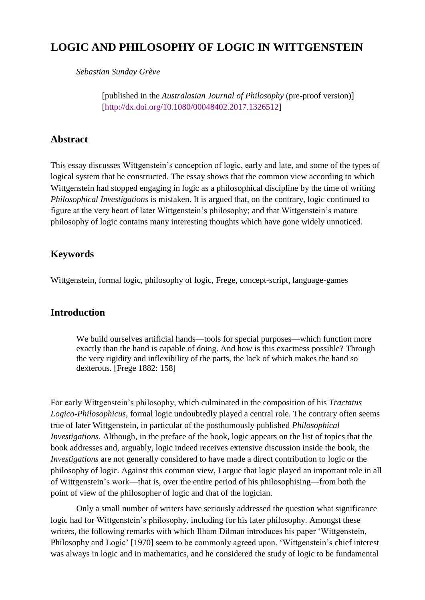# **LOGIC AND PHILOSOPHY OF LOGIC IN WITTGENSTEIN**

*Sebastian Sunday Grève*

[published in the *Australasian Journal of Philosophy* (pre-proof version)] [\[http://dx.doi.org/10.1080/00048402.2017.1326512\]](http://dx.doi.org/10.1080/00048402.2017.1326512)

# **Abstract**

This essay discusses Wittgenstein's conception of logic, early and late, and some of the types of logical system that he constructed. The essay shows that the common view according to which Wittgenstein had stopped engaging in logic as a philosophical discipline by the time of writing *Philosophical Investigations* is mistaken. It is argued that, on the contrary, logic continued to figure at the very heart of later Wittgenstein's philosophy; and that Wittgenstein's mature philosophy of logic contains many interesting thoughts which have gone widely unnoticed.

# **Keywords**

Wittgenstein, formal logic, philosophy of logic, Frege, concept-script, language-games

# **Introduction**

We build ourselves artificial hands—tools for special purposes—which function more exactly than the hand is capable of doing. And how is this exactness possible? Through the very rigidity and inflexibility of the parts, the lack of which makes the hand so dexterous. [Frege 1882: 158]

For early Wittgenstein's philosophy, which culminated in the composition of his *Tractatus Logico-Philosophicus*, formal logic undoubtedly played a central role. The contrary often seems true of later Wittgenstein, in particular of the posthumously published *Philosophical Investigations*. Although, in the preface of the book, logic appears on the list of topics that the book addresses and, arguably, logic indeed receives extensive discussion inside the book, the *Investigations* are not generally considered to have made a direct contribution to logic or the philosophy of logic. Against this common view, I argue that logic played an important role in all of Wittgenstein's work—that is, over the entire period of his philosophising—from both the point of view of the philosopher of logic and that of the logician.

Only a small number of writers have seriously addressed the question what significance logic had for Wittgenstein's philosophy, including for his later philosophy. Amongst these writers, the following remarks with which Ilham Dilman introduces his paper 'Wittgenstein, Philosophy and Logic' [1970] seem to be commonly agreed upon. 'Wittgenstein's chief interest was always in logic and in mathematics, and he considered the study of logic to be fundamental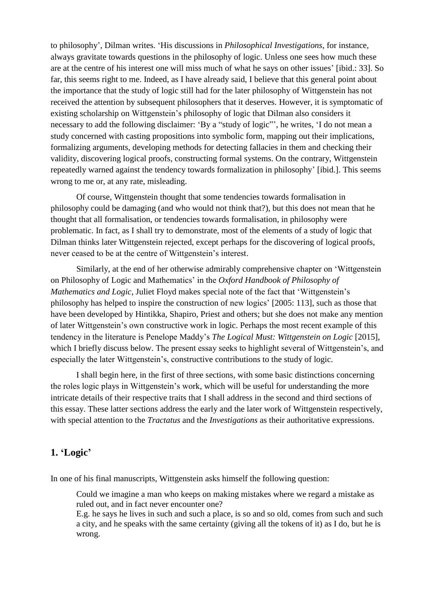to philosophy', Dilman writes. 'His discussions in *Philosophical Investigations*, for instance, always gravitate towards questions in the philosophy of logic. Unless one sees how much these are at the centre of his interest one will miss much of what he says on other issues' [ibid.: 33]. So far, this seems right to me. Indeed, as I have already said, I believe that this general point about the importance that the study of logic still had for the later philosophy of Wittgenstein has not received the attention by subsequent philosophers that it deserves. However, it is symptomatic of existing scholarship on Wittgenstein's philosophy of logic that Dilman also considers it necessary to add the following disclaimer: 'By a "study of logic"', he writes, 'I do not mean a study concerned with casting propositions into symbolic form, mapping out their implications, formalizing arguments, developing methods for detecting fallacies in them and checking their validity, discovering logical proofs, constructing formal systems. On the contrary, Wittgenstein repeatedly warned against the tendency towards formalization in philosophy' [ibid.]. This seems wrong to me or, at any rate, misleading.

Of course, Wittgenstein thought that some tendencies towards formalisation in philosophy could be damaging (and who would not think that?), but this does not mean that he thought that all formalisation, or tendencies towards formalisation, in philosophy were problematic. In fact, as I shall try to demonstrate, most of the elements of a study of logic that Dilman thinks later Wittgenstein rejected, except perhaps for the discovering of logical proofs, never ceased to be at the centre of Wittgenstein's interest.

Similarly, at the end of her otherwise admirably comprehensive chapter on 'Wittgenstein on Philosophy of Logic and Mathematics' in the *Oxford Handbook of Philosophy of Mathematics and Logic*, Juliet Floyd makes special note of the fact that 'Wittgenstein's philosophy has helped to inspire the construction of new logics' [2005: 113], such as those that have been developed by Hintikka, Shapiro, Priest and others; but she does not make any mention of later Wittgenstein's own constructive work in logic. Perhaps the most recent example of this tendency in the literature is Penelope Maddy's *The Logical Must: Wittgenstein on Logic* [2015], which I briefly discuss below. The present essay seeks to highlight several of Wittgenstein's, and especially the later Wittgenstein's, constructive contributions to the study of logic.

I shall begin here, in the first of three sections, with some basic distinctions concerning the roles logic plays in Wittgenstein's work, which will be useful for understanding the more intricate details of their respective traits that I shall address in the second and third sections of this essay. These latter sections address the early and the later work of Wittgenstein respectively, with special attention to the *Tractatus* and the *Investigations* as their authoritative expressions.

# **1. 'Logic'**

In one of his final manuscripts, Wittgenstein asks himself the following question:

Could we imagine a man who keeps on making mistakes where we regard a mistake as ruled out, and in fact never encounter one?

E.g. he says he lives in such and such a place, is so and so old, comes from such and such a city, and he speaks with the same certainty (giving all the tokens of it) as I do, but he is wrong.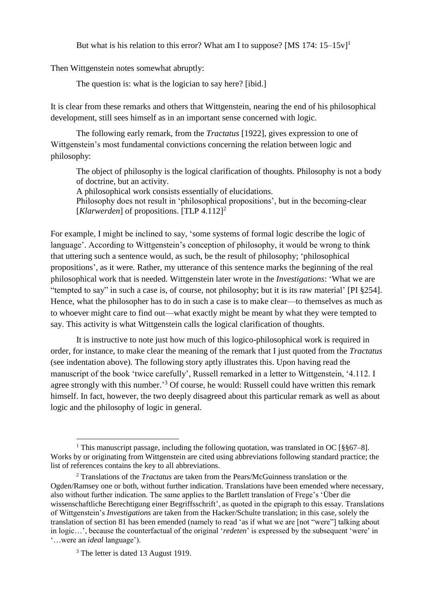But what is his relation to this error? What am I to suppose? [MS 174:  $15-15v$ ]<sup>1</sup>

Then Wittgenstein notes somewhat abruptly:

The question is: what is the logician to say here? [ibid.]

It is clear from these remarks and others that Wittgenstein, nearing the end of his philosophical development, still sees himself as in an important sense concerned with logic.

The following early remark, from the *Tractatus* [1922], gives expression to one of Wittgenstein's most fundamental convictions concerning the relation between logic and philosophy:

The object of philosophy is the logical clarification of thoughts. Philosophy is not a body of doctrine, but an activity.

A philosophical work consists essentially of elucidations.

Philosophy does not result in 'philosophical propositions', but in the becoming-clear [Klarwerden] of propositions. [TLP 4.112]<sup>2</sup>

For example, I might be inclined to say, 'some systems of formal logic describe the logic of language'. According to Wittgenstein's conception of philosophy, it would be wrong to think that uttering such a sentence would, as such, be the result of philosophy; 'philosophical propositions', as it were. Rather, my utterance of this sentence marks the beginning of the real philosophical work that is needed. Wittgenstein later wrote in the *Investigations*: 'What we are "tempted to say" in such a case is, of course, not philosophy; but it is its raw material' [PI §254]. Hence, what the philosopher has to do in such a case is to make clear—to themselves as much as to whoever might care to find out—what exactly might be meant by what they were tempted to say. This activity is what Wittgenstein calls the logical clarification of thoughts.

It is instructive to note just how much of this logico-philosophical work is required in order, for instance, to make clear the meaning of the remark that I just quoted from the *Tractatus* (see indentation above). The following story aptly illustrates this. Upon having read the manuscript of the book 'twice carefully', Russell remarked in a letter to Wittgenstein, '4.112. I agree strongly with this number.<sup>3</sup> Of course, he would: Russell could have written this remark himself. In fact, however, the two deeply disagreed about this particular remark as well as about logic and the philosophy of logic in general.

<u>.</u>

<sup>&</sup>lt;sup>1</sup> This manuscript passage, including the following quotation, was translated in OC [§§67–8]. Works by or originating from Wittgenstein are cited using abbreviations following standard practice; the list of references contains the key to all abbreviations.

<sup>2</sup> Translations of the *Tractatus* are taken from the Pears/McGuinness translation or the Ogden/Ramsey one or both, without further indication. Translations have been emended where necessary, also without further indication. The same applies to the Bartlett translation of Frege's 'Über die wissenschaftliche Berechtigung einer Begriffsschrift', as quoted in the epigraph to this essay. Translations of Wittgenstein's *Investigations* are taken from the Hacker/Schulte translation; in this case, solely the translation of section 81 has been emended (namely to read 'as if what we are [not "were"] talking about in logic…', because the counterfactual of the original '*redeten*' is expressed by the subsequent 'were' in '…were an *ideal* language').

<sup>&</sup>lt;sup>3</sup> The letter is dated 13 August 1919.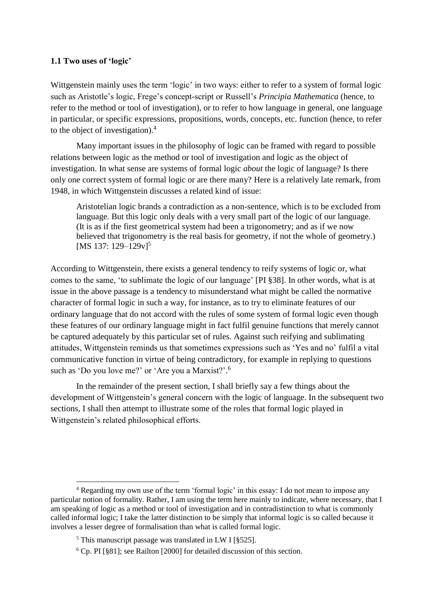#### **1.1 Two uses of 'logic'**

1

Wittgenstein mainly uses the term 'logic' in two ways: either to refer to a system of formal logic such as Aristotle's logic, Frege's concept-script or Russell's *Principia Mathematica* (hence, to refer to the method or tool of investigation), or to refer to how language in general, one language in particular, or specific expressions, propositions, words, concepts, etc. function (hence, to refer to the object of investigation). 4

Many important issues in the philosophy of logic can be framed with regard to possible relations between logic as the method or tool of investigation and logic as the object of investigation. In what sense are systems of formal logic *about* the logic of language? Is there only one correct system of formal logic or are there many? Here is a relatively late remark, from 1948, in which Wittgenstein discusses a related kind of issue:

Aristotelian logic brands a contradiction as a non-sentence, which is to be excluded from language. But this logic only deals with a very small part of the logic of our language. (It is as if the first geometrical system had been a trigonometry; and as if we now believed that trigonometry is the real basis for geometry, if not the whole of geometry.) [MS 137: 129-129v]<sup>5</sup>

According to Wittgenstein, there exists a general tendency to reify systems of logic or, what comes to the same, 'to sublimate the logic of our language' [PI §38]. In other words, what is at issue in the above passage is a tendency to misunderstand what might be called the normative character of formal logic in such a way, for instance, as to try to eliminate features of our ordinary language that do not accord with the rules of some system of formal logic even though these features of our ordinary language might in fact fulfil genuine functions that merely cannot be captured adequately by this particular set of rules. Against such reifying and sublimating attitudes, Wittgenstein reminds us that sometimes expressions such as 'Yes and no' fulfil a vital communicative function in virtue of being contradictory, for example in replying to questions such as 'Do you love me?' or 'Are you a Marxist?'.<sup>6</sup>

In the remainder of the present section, I shall briefly say a few things about the development of Wittgenstein's general concern with the logic of language. In the subsequent two sections, I shall then attempt to illustrate some of the roles that formal logic played in Wittgenstein's related philosophical efforts.

<sup>4</sup> Regarding my own use of the term 'formal logic' in this essay: I do not mean to impose any particular notion of formality. Rather, I am using the term here mainly to indicate, where necessary, that I am speaking of logic as a method or tool of investigation and in contradistinction to what is commonly called informal logic; I take the latter distinction to be simply that informal logic is so called because it involves a lesser degree of formalisation than what is called formal logic.

<sup>5</sup> This manuscript passage was translated in LW I [§525].

<sup>6</sup> Cp. PI [§81]; see Railton [2000] for detailed discussion of this section.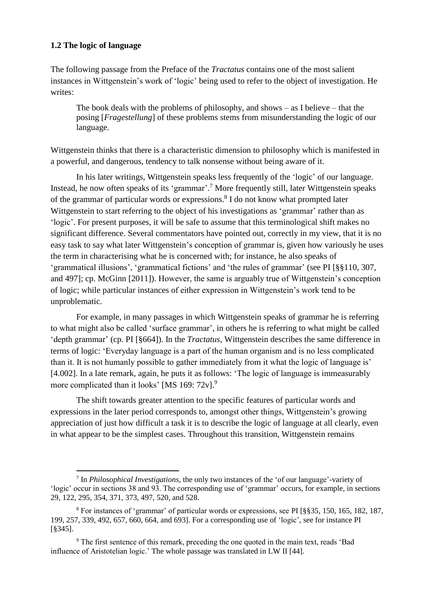#### **1.2 The logic of language**

<u>.</u>

The following passage from the Preface of the *Tractatus* contains one of the most salient instances in Wittgenstein's work of 'logic' being used to refer to the object of investigation. He writes:

The book deals with the problems of philosophy, and shows – as I believe – that the posing [*Fragestellung*] of these problems stems from misunderstanding the logic of our language.

Wittgenstein thinks that there is a characteristic dimension to philosophy which is manifested in a powerful, and dangerous, tendency to talk nonsense without being aware of it.

In his later writings, Wittgenstein speaks less frequently of the 'logic' of our language. Instead, he now often speaks of its 'grammar'. <sup>7</sup> More frequently still, later Wittgenstein speaks of the grammar of particular words or expressions.<sup>8</sup> I do not know what prompted later Wittgenstein to start referring to the object of his investigations as 'grammar' rather than as 'logic'. For present purposes, it will be safe to assume that this terminological shift makes no significant difference. Several commentators have pointed out, correctly in my view, that it is no easy task to say what later Wittgenstein's conception of grammar is, given how variously he uses the term in characterising what he is concerned with; for instance, he also speaks of 'grammatical illusions', 'grammatical fictions' and 'the rules of grammar' (see PI [§§110, 307, and 497]; cp. McGinn [2011]). However, the same is arguably true of Wittgenstein's conception of logic; while particular instances of either expression in Wittgenstein's work tend to be unproblematic.

For example, in many passages in which Wittgenstein speaks of grammar he is referring to what might also be called 'surface grammar', in others he is referring to what might be called 'depth grammar' (cp. PI [§664]). In the *Tractatus*, Wittgenstein describes the same difference in terms of logic: 'Everyday language is a part of the human organism and is no less complicated than it. It is not humanly possible to gather immediately from it what the logic of language is' [4.002]. In a late remark, again, he puts it as follows: 'The logic of language is immeasurably more complicated than it looks' [MS 169: 72v].<sup>9</sup>

The shift towards greater attention to the specific features of particular words and expressions in the later period corresponds to, amongst other things, Wittgenstein's growing appreciation of just how difficult a task it is to describe the logic of language at all clearly, even in what appear to be the simplest cases. Throughout this transition, Wittgenstein remains

<sup>7</sup> In *Philosophical Investigations*, the only two instances of the 'of our language'-variety of 'logic' occur in sections 38 and 93. The corresponding use of 'grammar' occurs, for example, in sections 29, 122, 295, 354, 371, 373, 497, 520, and 528.

<sup>8</sup> For instances of 'grammar' of particular words or expressions, see PI [§§35, 150, 165, 182, 187, 199, 257, 339, 492, 657, 660, 664, and 693]. For a corresponding use of 'logic', see for instance PI [§345].

<sup>9</sup> The first sentence of this remark, preceding the one quoted in the main text, reads 'Bad influence of Aristotelian logic.' The whole passage was translated in LW II [44].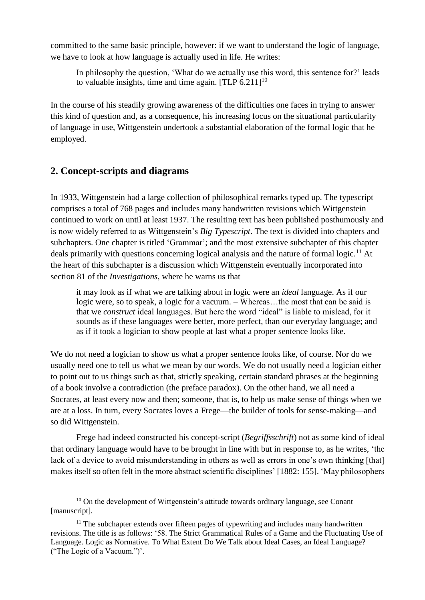committed to the same basic principle, however: if we want to understand the logic of language, we have to look at how language is actually used in life. He writes:

In philosophy the question, 'What do we actually use this word, this sentence for?' leads to valuable insights, time and time again. [TLP  $6.211$ ]<sup>10</sup>

In the course of his steadily growing awareness of the difficulties one faces in trying to answer this kind of question and, as a consequence, his increasing focus on the situational particularity of language in use, Wittgenstein undertook a substantial elaboration of the formal logic that he employed.

# **2. Concept-scripts and diagrams**

1

In 1933, Wittgenstein had a large collection of philosophical remarks typed up. The typescript comprises a total of 768 pages and includes many handwritten revisions which Wittgenstein continued to work on until at least 1937. The resulting text has been published posthumously and is now widely referred to as Wittgenstein's *Big Typescript*. The text is divided into chapters and subchapters. One chapter is titled 'Grammar'; and the most extensive subchapter of this chapter deals primarily with questions concerning logical analysis and the nature of formal logic.<sup>11</sup> At the heart of this subchapter is a discussion which Wittgenstein eventually incorporated into section 81 of the *Investigations*, where he warns us that

it may look as if what we are talking about in logic were an *ideal* language. As if our logic were, so to speak, a logic for a vacuum. – Whereas…the most that can be said is that we *construct* ideal languages. But here the word "ideal" is liable to mislead, for it sounds as if these languages were better, more perfect, than our everyday language; and as if it took a logician to show people at last what a proper sentence looks like.

We do not need a logician to show us what a proper sentence looks like, of course. Nor do we usually need one to tell us what we mean by our words. We do not usually need a logician either to point out to us things such as that, strictly speaking, certain standard phrases at the beginning of a book involve a contradiction (the preface paradox). On the other hand, we all need a Socrates, at least every now and then; someone, that is, to help us make sense of things when we are at a loss. In turn, every Socrates loves a Frege—the builder of tools for sense-making—and so did Wittgenstein.

Frege had indeed constructed his concept-script (*Begriffsschrift*) not as some kind of ideal that ordinary language would have to be brought in line with but in response to, as he writes, 'the lack of a device to avoid misunderstanding in others as well as errors in one's own thinking [that] makes itself so often felt in the more abstract scientific disciplines' [1882: 155]. 'May philosophers

<sup>&</sup>lt;sup>10</sup> On the development of Wittgenstein's attitude towards ordinary language, see Conant [manuscript].

 $11$  The subchapter extends over fifteen pages of typewriting and includes many handwritten revisions. The title is as follows: '58. The Strict Grammatical Rules of a Game and the Fluctuating Use of Language. Logic as Normative. To What Extent Do We Talk about Ideal Cases, an Ideal Language? ("The Logic of a Vacuum.")'.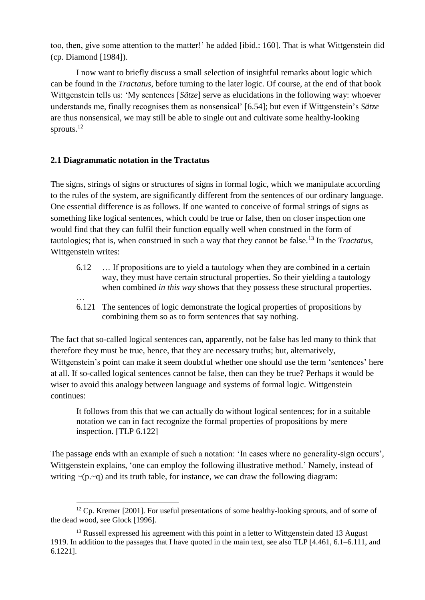too, then, give some attention to the matter!' he added [ibid.: 160]. That is what Wittgenstein did (cp. Diamond [1984]).

I now want to briefly discuss a small selection of insightful remarks about logic which can be found in the *Tractatus*, before turning to the later logic. Of course, at the end of that book Wittgenstein tells us: 'My sentences [*Sätze*] serve as elucidations in the following way: whoever understands me, finally recognises them as nonsensical' [6.54]; but even if Wittgenstein's *Sätze* are thus nonsensical, we may still be able to single out and cultivate some healthy-looking sprouts.<sup>12</sup>

### **2.1 Diagrammatic notation in the Tractatus**

1

The signs, strings of signs or structures of signs in formal logic, which we manipulate according to the rules of the system, are significantly different from the sentences of our ordinary language. One essential difference is as follows. If one wanted to conceive of formal strings of signs as something like logical sentences, which could be true or false, then on closer inspection one would find that they can fulfil their function equally well when construed in the form of tautologies; that is, when construed in such a way that they cannot be false.<sup>13</sup> In the *Tractatus*, Wittgenstein writes:

- 6.12 … If propositions are to yield a tautology when they are combined in a certain way, they must have certain structural properties. So their yielding a tautology when combined *in this way* shows that they possess these structural properties.
- … 6.121 The sentences of logic demonstrate the logical properties of propositions by combining them so as to form sentences that say nothing.

The fact that so-called logical sentences can, apparently, not be false has led many to think that therefore they must be true, hence, that they are necessary truths; but, alternatively, Wittgenstein's point can make it seem doubtful whether one should use the term 'sentences' here at all. If so-called logical sentences cannot be false, then can they be true? Perhaps it would be wiser to avoid this analogy between language and systems of formal logic. Wittgenstein continues:

It follows from this that we can actually do without logical sentences; for in a suitable notation we can in fact recognize the formal properties of propositions by mere inspection. [TLP 6.122]

The passage ends with an example of such a notation: 'In cases where no generality-sign occurs', Wittgenstein explains, 'one can employ the following illustrative method.' Namely, instead of writing  $\sim(p, \sim q)$  and its truth table, for instance, we can draw the following diagram:

 $12$  Cp. Kremer [2001]. For useful presentations of some healthy-looking sprouts, and of some of the dead wood, see Glock [1996].

<sup>&</sup>lt;sup>13</sup> Russell expressed his agreement with this point in a letter to Wittgenstein dated 13 August 1919. In addition to the passages that I have quoted in the main text, see also TLP [4.461, 6.1–6.111, and 6.1221].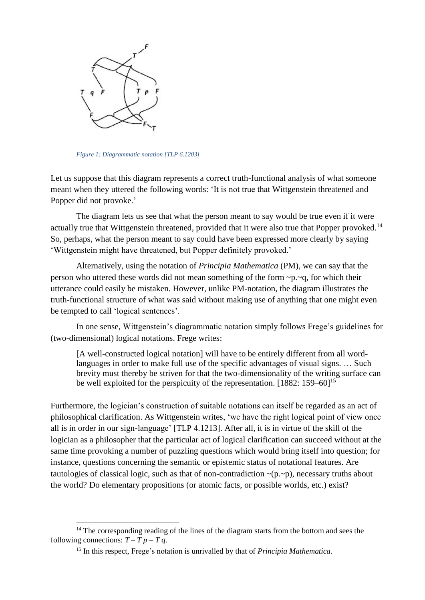

1

*Figure 1: Diagrammatic notation [TLP 6.1203]*

Let us suppose that this diagram represents a correct truth-functional analysis of what someone meant when they uttered the following words: 'It is not true that Wittgenstein threatened and Popper did not provoke.'

The diagram lets us see that what the person meant to say would be true even if it were actually true that Wittgenstein threatened, provided that it were also true that Popper provoked.<sup>14</sup> So, perhaps, what the person meant to say could have been expressed more clearly by saying 'Wittgenstein might have threatened, but Popper definitely provoked.'

Alternatively, using the notation of *Principia Mathematica* (PM), we can say that the person who uttered these words did not mean something of the form ~p.~q, for which their utterance could easily be mistaken. However, unlike PM-notation, the diagram illustrates the truth-functional structure of what was said without making use of anything that one might even be tempted to call 'logical sentences'.

In one sense, Wittgenstein's diagrammatic notation simply follows Frege's guidelines for (two-dimensional) logical notations. Frege writes:

[A well-constructed logical notation] will have to be entirely different from all wordlanguages in order to make full use of the specific advantages of visual signs. … Such brevity must thereby be striven for that the two-dimensionality of the writing surface can be well exploited for the perspicuity of the representation. [1882: 159–60]<sup>15</sup>

Furthermore, the logician's construction of suitable notations can itself be regarded as an act of philosophical clarification. As Wittgenstein writes, 'we have the right logical point of view once all is in order in our sign-language' [TLP 4.1213]. After all, it is in virtue of the skill of the logician as a philosopher that the particular act of logical clarification can succeed without at the same time provoking a number of puzzling questions which would bring itself into question; for instance, questions concerning the semantic or epistemic status of notational features. Are tautologies of classical logic, such as that of non-contradiction  $\sim (p, \sim p)$ , necessary truths about the world? Do elementary propositions (or atomic facts, or possible worlds, etc.) exist?

<sup>&</sup>lt;sup>14</sup> The corresponding reading of the lines of the diagram starts from the bottom and sees the following connections:  $T - T p - T q$ .

<sup>15</sup> In this respect, Frege's notation is unrivalled by that of *Principia Mathematica*.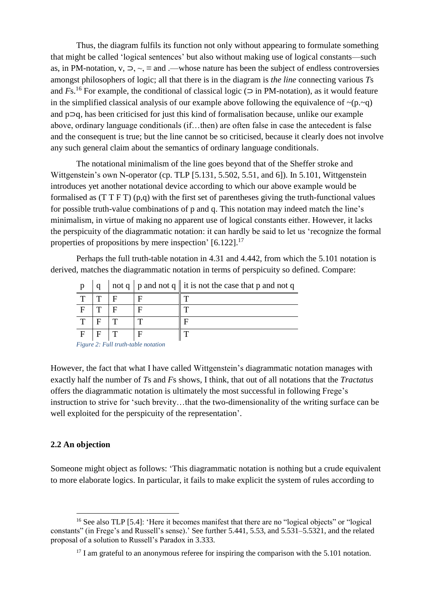Thus, the diagram fulfils its function not only without appearing to formulate something that might be called 'logical sentences' but also without making use of logical constants—such as, in PM-notation,  $v, \Rightarrow \Rightarrow \equiv$  and .—whose nature has been the subject of endless controversies amongst philosophers of logic; all that there is in the diagram is *the line* connecting various *T*s and  $Fs$ <sup>16</sup>. For example, the conditional of classical logic ( $\supset$  in PM-notation), as it would feature in the simplified classical analysis of our example above following the equivalence of  $\sim (p, \sim q)$ and p⊃q, has been criticised for just this kind of formalisation because, unlike our example above, ordinary language conditionals (if…then) are often false in case the antecedent is false and the consequent is true; but the line cannot be so criticised, because it clearly does not involve any such general claim about the semantics of ordinary language conditionals.

The notational minimalism of the line goes beyond that of the Sheffer stroke and Wittgenstein's own N-operator (cp. TLP [5.131, 5.502, 5.51, and 6]). In 5.101, Wittgenstein introduces yet another notational device according to which our above example would be formalised as (T T F T) (p,q) with the first set of parentheses giving the truth-functional values for possible truth-value combinations of p and q. This notation may indeed match the line's minimalism, in virtue of making no apparent use of logical constants either. However, it lacks the perspicuity of the diagrammatic notation: it can hardly be said to let us 'recognize the formal properties of propositions by mere inspection' [6.122].<sup>17</sup>

Perhaps the full truth-table notation in 4.31 and 4.442, from which the 5.101 notation is derived, matches the diagrammatic notation in terms of perspicuity so defined. Compare:

| q  |  | not q   p and not q   it is not the case that p and not q |
|----|--|-----------------------------------------------------------|
|    |  |                                                           |
|    |  |                                                           |
|    |  |                                                           |
| F. |  |                                                           |

*Figure 2: Full truth-table notation*

However, the fact that what I have called Wittgenstein's diagrammatic notation manages with exactly half the number of *T*s and *F*s shows, I think, that out of all notations that the *Tractatus* offers the diagrammatic notation is ultimately the most successful in following Frege's instruction to strive for 'such brevity…that the two-dimensionality of the writing surface can be well exploited for the perspicuity of the representation'.

### **2.2 An objection**

<u>.</u>

Someone might object as follows: 'This diagrammatic notation is nothing but a crude equivalent to more elaborate logics. In particular, it fails to make explicit the system of rules according to

<sup>&</sup>lt;sup>16</sup> See also TLP [5.4]: 'Here it becomes manifest that there are no "logical objects" or "logical constants" (in Frege's and Russell's sense).' See further 5.441, 5.53, and 5.531–5.5321, and the related proposal of a solution to Russell's Paradox in 3.333.

 $17$  I am grateful to an anonymous referee for inspiring the comparison with the 5.101 notation.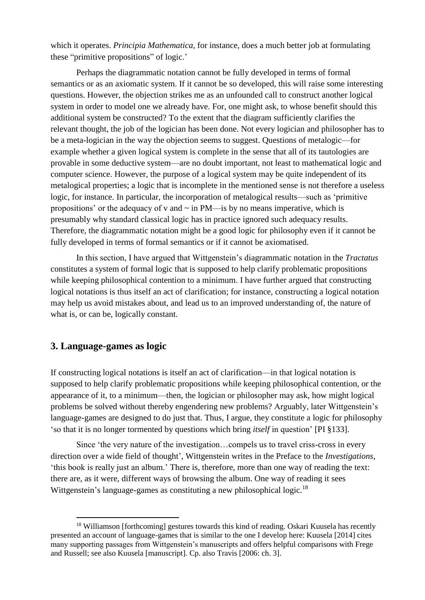which it operates. *Principia Mathematica*, for instance, does a much better job at formulating these "primitive propositions" of logic.'

Perhaps the diagrammatic notation cannot be fully developed in terms of formal semantics or as an axiomatic system. If it cannot be so developed, this will raise some interesting questions. However, the objection strikes me as an unfounded call to construct another logical system in order to model one we already have. For, one might ask, to whose benefit should this additional system be constructed? To the extent that the diagram sufficiently clarifies the relevant thought, the job of the logician has been done. Not every logician and philosopher has to be a meta-logician in the way the objection seems to suggest. Questions of metalogic—for example whether a given logical system is complete in the sense that all of its tautologies are provable in some deductive system—are no doubt important, not least to mathematical logic and computer science. However, the purpose of a logical system may be quite independent of its metalogical properties; a logic that is incomplete in the mentioned sense is not therefore a useless logic, for instance. In particular, the incorporation of metalogical results—such as 'primitive propositions' or the adequacy of v and  $\sim$  in PM—is by no means imperative, which is presumably why standard classical logic has in practice ignored such adequacy results. Therefore, the diagrammatic notation might be a good logic for philosophy even if it cannot be fully developed in terms of formal semantics or if it cannot be axiomatised.

In this section, I have argued that Wittgenstein's diagrammatic notation in the *Tractatus* constitutes a system of formal logic that is supposed to help clarify problematic propositions while keeping philosophical contention to a minimum. I have further argued that constructing logical notations is thus itself an act of clarification; for instance, constructing a logical notation may help us avoid mistakes about, and lead us to an improved understanding of, the nature of what is, or can be, logically constant.

### **3. Language-games as logic**

1

If constructing logical notations is itself an act of clarification—in that logical notation is supposed to help clarify problematic propositions while keeping philosophical contention, or the appearance of it, to a minimum—then, the logician or philosopher may ask, how might logical problems be solved without thereby engendering new problems? Arguably, later Wittgenstein's language-games are designed to do just that. Thus, I argue, they constitute a logic for philosophy 'so that it is no longer tormented by questions which bring *itself* in question' [PI §133].

Since 'the very nature of the investigation…compels us to travel criss-cross in every direction over a wide field of thought', Wittgenstein writes in the Preface to the *Investigations*, 'this book is really just an album.' There is, therefore, more than one way of reading the text: there are, as it were, different ways of browsing the album. One way of reading it sees Wittgenstein's language-games as constituting a new philosophical logic.<sup>18</sup>

<sup>&</sup>lt;sup>18</sup> Williamson [forthcoming] gestures towards this kind of reading. Oskari Kuusela has recently presented an account of language-games that is similar to the one I develop here: Kuusela [2014] cites many supporting passages from Wittgenstein's manuscripts and offers helpful comparisons with Frege and Russell; see also Kuusela [manuscript]. Cp. also Travis [2006: ch. 3].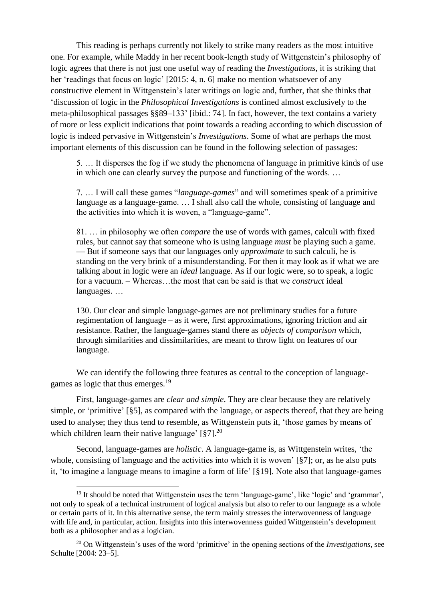This reading is perhaps currently not likely to strike many readers as the most intuitive one. For example, while Maddy in her recent book-length study of Wittgenstein's philosophy of logic agrees that there is not just one useful way of reading the *Investigations*, it is striking that her 'readings that focus on logic' [2015: 4, n. 6] make no mention whatsoever of any constructive element in Wittgenstein's later writings on logic and, further, that she thinks that 'discussion of logic in the *Philosophical Investigations* is confined almost exclusively to the meta-philosophical passages §§89–133' [ibid.: 74]. In fact, however, the text contains a variety of more or less explicit indications that point towards a reading according to which discussion of logic is indeed pervasive in Wittgenstein's *Investigations*. Some of what are perhaps the most important elements of this discussion can be found in the following selection of passages:

5. … It disperses the fog if we study the phenomena of language in primitive kinds of use in which one can clearly survey the purpose and functioning of the words. …

7. … I will call these games "*language-games*" and will sometimes speak of a primitive language as a language-game. … I shall also call the whole, consisting of language and the activities into which it is woven, a "language-game".

81. … in philosophy we often *compare* the use of words with games, calculi with fixed rules, but cannot say that someone who is using language *must* be playing such a game. — But if someone says that our languages only *approximate* to such calculi, he is standing on the very brink of a misunderstanding. For then it may look as if what we are talking about in logic were an *ideal* language. As if our logic were, so to speak, a logic for a vacuum. – Whereas…the most that can be said is that we *construct* ideal languages. …

130. Our clear and simple language-games are not preliminary studies for a future regimentation of language – as it were, first approximations, ignoring friction and air resistance. Rather, the language-games stand there as *objects of comparison* which, through similarities and dissimilarities, are meant to throw light on features of our language.

We can identify the following three features as central to the conception of languagegames as logic that thus emerges.<sup>19</sup>

First, language-games are *clear and simple*. They are clear because they are relatively simple, or 'primitive' [§5], as compared with the language, or aspects thereof, that they are being used to analyse; they thus tend to resemble, as Wittgenstein puts it, 'those games by means of which children learn their native language' [§7]. $^{20}$ 

Second, language-games are *holistic*. A language-game is, as Wittgenstein writes, 'the whole, consisting of language and the activities into which it is woven' [§7]; or, as he also puts it, 'to imagine a language means to imagine a form of life' [§19]. Note also that language-games

1

<sup>&</sup>lt;sup>19</sup> It should be noted that Wittgenstein uses the term 'language-game', like 'logic' and 'grammar', not only to speak of a technical instrument of logical analysis but also to refer to our language as a whole or certain parts of it. In this alternative sense, the term mainly stresses the interwovenness of language with life and, in particular, action. Insights into this interwovenness guided Wittgenstein's development both as a philosopher and as a logician.

<sup>20</sup> On Wittgenstein's uses of the word 'primitive' in the opening sections of the *Investigations*, see Schulte [2004: 23–5].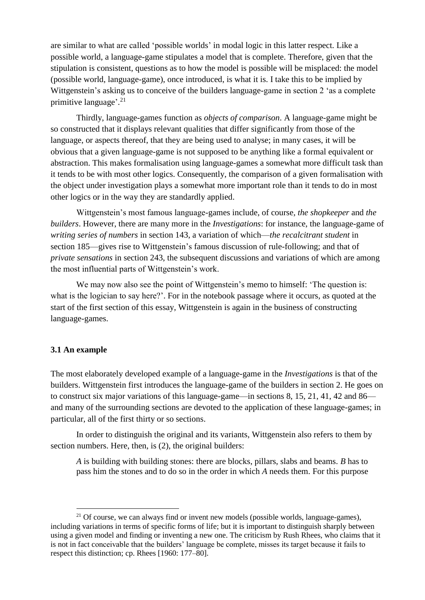are similar to what are called 'possible worlds' in modal logic in this latter respect. Like a possible world, a language-game stipulates a model that is complete. Therefore, given that the stipulation is consistent, questions as to how the model is possible will be misplaced: the model (possible world, language-game), once introduced, is what it is. I take this to be implied by Wittgenstein's asking us to conceive of the builders language-game in section 2 'as a complete primitive language'.<sup>21</sup>

Thirdly, language-games function as *objects of comparison*. A language-game might be so constructed that it displays relevant qualities that differ significantly from those of the language, or aspects thereof, that they are being used to analyse; in many cases, it will be obvious that a given language-game is not supposed to be anything like a formal equivalent or abstraction. This makes formalisation using language-games a somewhat more difficult task than it tends to be with most other logics. Consequently, the comparison of a given formalisation with the object under investigation plays a somewhat more important role than it tends to do in most other logics or in the way they are standardly applied.

Wittgenstein's most famous language-games include, of course, *the shopkeeper* and *the builders*. However, there are many more in the *Investigations*: for instance, the language-game of *writing series of numbers* in section 143, a variation of which—*the recalcitrant student* in section 185—gives rise to Wittgenstein's famous discussion of rule-following; and that of *private sensations* in section 243, the subsequent discussions and variations of which are among the most influential parts of Wittgenstein's work.

We may now also see the point of Wittgenstein's memo to himself: 'The question is: what is the logician to say here?'. For in the notebook passage where it occurs, as quoted at the start of the first section of this essay, Wittgenstein is again in the business of constructing language-games.

### **3.1 An example**

1

The most elaborately developed example of a language-game in the *Investigations* is that of the builders. Wittgenstein first introduces the language-game of the builders in section 2. He goes on to construct six major variations of this language-game—in sections 8, 15, 21, 41, 42 and 86 and many of the surrounding sections are devoted to the application of these language-games; in particular, all of the first thirty or so sections.

In order to distinguish the original and its variants, Wittgenstein also refers to them by section numbers. Here, then, is (2), the original builders:

*A* is building with building stones: there are blocks, pillars, slabs and beams. *B* has to pass him the stones and to do so in the order in which *A* needs them. For this purpose

 $21$  Of course, we can always find or invent new models (possible worlds, language-games), including variations in terms of specific forms of life; but it is important to distinguish sharply between using a given model and finding or inventing a new one. The criticism by Rush Rhees, who claims that it is not in fact conceivable that the builders' language be complete, misses its target because it fails to respect this distinction; cp. Rhees [1960: 177–80].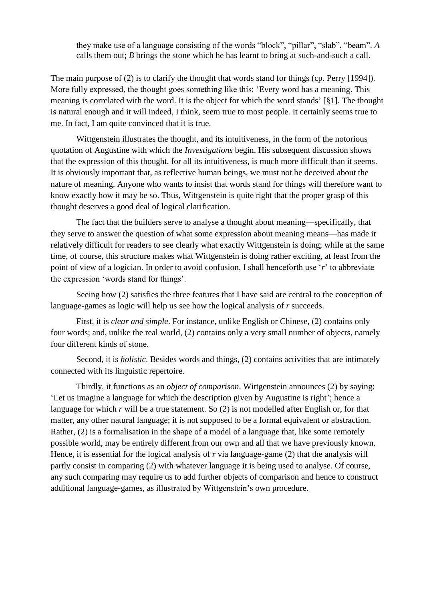they make use of a language consisting of the words "block", "pillar", "slab", "beam". *A* calls them out; *B* brings the stone which he has learnt to bring at such-and-such a call.

The main purpose of (2) is to clarify the thought that words stand for things (cp. Perry [1994]). More fully expressed, the thought goes something like this: 'Every word has a meaning. This meaning is correlated with the word. It is the object for which the word stands' [§1]. The thought is natural enough and it will indeed, I think, seem true to most people. It certainly seems true to me. In fact, I am quite convinced that it is true.

Wittgenstein illustrates the thought, and its intuitiveness, in the form of the notorious quotation of Augustine with which the *Investigations* begin. His subsequent discussion shows that the expression of this thought, for all its intuitiveness, is much more difficult than it seems. It is obviously important that, as reflective human beings, we must not be deceived about the nature of meaning. Anyone who wants to insist that words stand for things will therefore want to know exactly how it may be so. Thus, Wittgenstein is quite right that the proper grasp of this thought deserves a good deal of logical clarification.

The fact that the builders serve to analyse a thought about meaning—specifically, that they serve to answer the question of what some expression about meaning means—has made it relatively difficult for readers to see clearly what exactly Wittgenstein is doing; while at the same time, of course, this structure makes what Wittgenstein is doing rather exciting, at least from the point of view of a logician. In order to avoid confusion, I shall henceforth use '*r*' to abbreviate the expression 'words stand for things'.

Seeing how (2) satisfies the three features that I have said are central to the conception of language-games as logic will help us see how the logical analysis of *r* succeeds.

First, it is *clear and simple*. For instance, unlike English or Chinese, (2) contains only four words; and, unlike the real world, (2) contains only a very small number of objects, namely four different kinds of stone.

Second, it is *holistic*. Besides words and things, (2) contains activities that are intimately connected with its linguistic repertoire.

Thirdly, it functions as an *object of comparison*. Wittgenstein announces (2) by saying: 'Let us imagine a language for which the description given by Augustine is right'; hence a language for which *r* will be a true statement. So (2) is not modelled after English or, for that matter, any other natural language; it is not supposed to be a formal equivalent or abstraction. Rather, (2) is a formalisation in the shape of a model of a language that, like some remotely possible world, may be entirely different from our own and all that we have previously known. Hence, it is essential for the logical analysis of *r* via language-game (2) that the analysis will partly consist in comparing (2) with whatever language it is being used to analyse. Of course, any such comparing may require us to add further objects of comparison and hence to construct additional language-games, as illustrated by Wittgenstein's own procedure.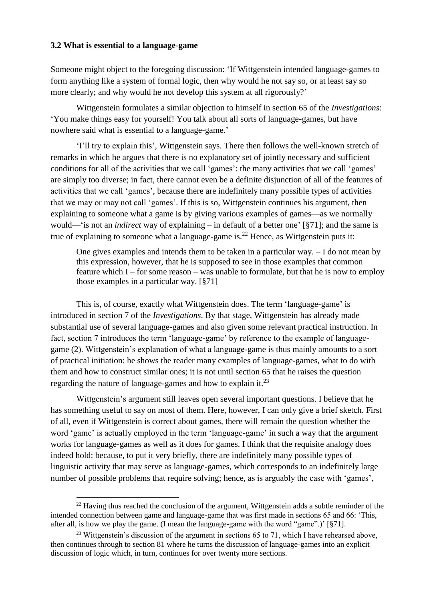#### **3.2 What is essential to a language-game**

1

Someone might object to the foregoing discussion: 'If Wittgenstein intended language-games to form anything like a system of formal logic, then why would he not say so, or at least say so more clearly; and why would he not develop this system at all rigorously?'

Wittgenstein formulates a similar objection to himself in section 65 of the *Investigations*: 'You make things easy for yourself! You talk about all sorts of language-games, but have nowhere said what is essential to a language-game.'

'I'll try to explain this', Wittgenstein says. There then follows the well-known stretch of remarks in which he argues that there is no explanatory set of jointly necessary and sufficient conditions for all of the activities that we call 'games': the many activities that we call 'games' are simply too diverse; in fact, there cannot even be a definite disjunction of all of the features of activities that we call 'games', because there are indefinitely many possible types of activities that we may or may not call 'games'. If this is so, Wittgenstein continues his argument, then explaining to someone what a game is by giving various examples of games—as we normally would—'is not an *indirect* way of explaining – in default of a better one' [§71]; and the same is true of explaining to someone what a language-game is.<sup>22</sup> Hence, as Wittgenstein puts it:

One gives examples and intends them to be taken in a particular way. – I do not mean by this expression, however, that he is supposed to see in those examples that common feature which  $I$  – for some reason – was unable to formulate, but that he is now to employ those examples in a particular way. [§71]

This is, of course, exactly what Wittgenstein does. The term 'language-game' is introduced in section 7 of the *Investigations*. By that stage, Wittgenstein has already made substantial use of several language-games and also given some relevant practical instruction. In fact, section 7 introduces the term 'language-game' by reference to the example of languagegame (2). Wittgenstein's explanation of what a language-game is thus mainly amounts to a sort of practical initiation: he shows the reader many examples of language-games, what to do with them and how to construct similar ones; it is not until section 65 that he raises the question regarding the nature of language-games and how to explain it.<sup>23</sup>

Wittgenstein's argument still leaves open several important questions. I believe that he has something useful to say on most of them. Here, however, I can only give a brief sketch. First of all, even if Wittgenstein is correct about games, there will remain the question whether the word 'game' is actually employed in the term 'language-game' in such a way that the argument works for language-games as well as it does for games. I think that the requisite analogy does indeed hold: because, to put it very briefly, there are indefinitely many possible types of linguistic activity that may serve as language-games, which corresponds to an indefinitely large number of possible problems that require solving; hence, as is arguably the case with 'games',

 $22$  Having thus reached the conclusion of the argument, Wittgenstein adds a subtle reminder of the intended connection between game and language-game that was first made in sections 65 and 66: 'This, after all, is how we play the game. (I mean the language-game with the word "game".)' [§71].

<sup>&</sup>lt;sup>23</sup> Wittgenstein's discussion of the argument in sections  $65$  to 71, which I have rehearsed above, then continues through to section 81 where he turns the discussion of language-games into an explicit discussion of logic which, in turn, continues for over twenty more sections.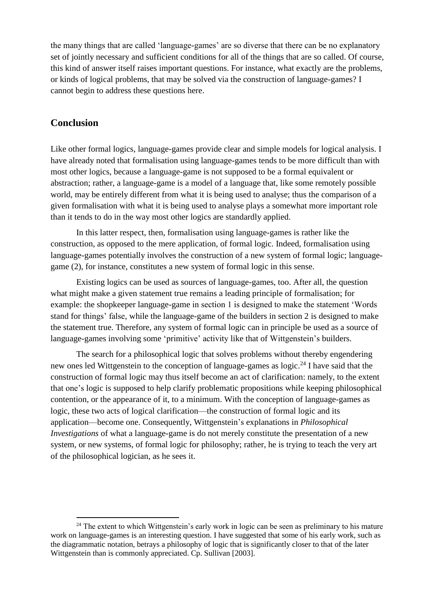the many things that are called 'language-games' are so diverse that there can be no explanatory set of jointly necessary and sufficient conditions for all of the things that are so called. Of course, this kind of answer itself raises important questions. For instance, what exactly are the problems, or kinds of logical problems, that may be solved via the construction of language-games? I cannot begin to address these questions here.

### **Conclusion**

1

Like other formal logics, language-games provide clear and simple models for logical analysis. I have already noted that formalisation using language-games tends to be more difficult than with most other logics, because a language-game is not supposed to be a formal equivalent or abstraction; rather, a language-game is a model of a language that, like some remotely possible world, may be entirely different from what it is being used to analyse; thus the comparison of a given formalisation with what it is being used to analyse plays a somewhat more important role than it tends to do in the way most other logics are standardly applied.

In this latter respect, then, formalisation using language-games is rather like the construction, as opposed to the mere application, of formal logic. Indeed, formalisation using language-games potentially involves the construction of a new system of formal logic; languagegame (2), for instance, constitutes a new system of formal logic in this sense.

Existing logics can be used as sources of language-games, too. After all, the question what might make a given statement true remains a leading principle of formalisation; for example: the shopkeeper language-game in section 1 is designed to make the statement 'Words stand for things' false, while the language-game of the builders in section 2 is designed to make the statement true. Therefore, any system of formal logic can in principle be used as a source of language-games involving some 'primitive' activity like that of Wittgenstein's builders.

The search for a philosophical logic that solves problems without thereby engendering new ones led Wittgenstein to the conception of language-games as logic.<sup>24</sup> I have said that the construction of formal logic may thus itself become an act of clarification: namely, to the extent that one's logic is supposed to help clarify problematic propositions while keeping philosophical contention, or the appearance of it, to a minimum. With the conception of language-games as logic, these two acts of logical clarification—the construction of formal logic and its application—become one. Consequently, Wittgenstein's explanations in *Philosophical Investigations* of what a language-game is do not merely constitute the presentation of a new system, or new systems, of formal logic for philosophy; rather, he is trying to teach the very art of the philosophical logician, as he sees it.

 $24$  The extent to which Wittgenstein's early work in logic can be seen as preliminary to his mature work on language-games is an interesting question. I have suggested that some of his early work, such as the diagrammatic notation, betrays a philosophy of logic that is significantly closer to that of the later Wittgenstein than is commonly appreciated. Cp. Sullivan [2003].